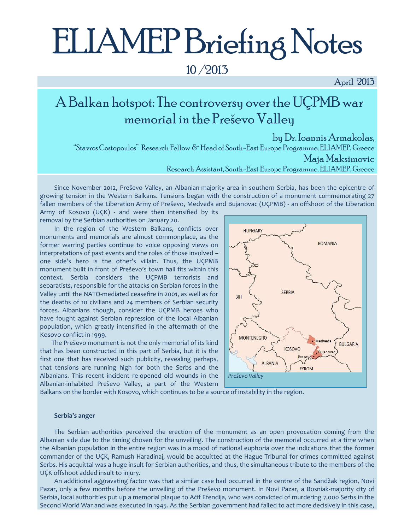# ELIAMEP Briefing Notes

### 10 /2013

April 2013

## A Balkan hotspot: The controversy over the UÇPMB war memorial in the Preševo Valley

by Dr. Ioannis Armakolas, "Stavros Costopoulos" Research Fellow & Head of South-East Europe Programme, ELIAMEP, Greece Maja Maksimovic Research Assistant, South-East Europe Programme, ELIAMEP, Greece

Since November 2012, Preševo Valley, an Albanian-majority area in southern Serbia, has been the epicentre of growing tension in the Western Balkans. Tensions began with the construction of a monument commemorating 27 fallen members of the Liberation Army of Preševo, Medveđa and Bujanovac (UÇPMB) - an offshoot of the Liberation

Army of Kosovo (UÇK) - and were then intensified by its removal by the Serbian authorities on January 20.

In the region of the Western Balkans, conflicts over monuments and memorials are almost commonplace, as the former warring parties continue to voice opposing views on interpretations of past events and the roles of those involved – one side's hero is the other's villain. Thus, the UÇPMB monument built in front of Preševo's town hall fits within this context. Serbia considers the UÇPMB terrorists and separatists, responsible for the attacks on Serbian forces in the Valley until the NATO-mediated ceasefire in 2001, as well as for the deaths of 10 civilians and 24 members of Serbian security forces. Albanians though, consider the UÇPMB heroes who have fought against Serbian repression of the local Albanian population, which greatly intensified in the aftermath of the Kosovo conflict in 1999.

 The Preševo monument is not the only memorial of its kind that has been constructed in this part of Serbia, but it is the first one that has received such publicity, revealing perhaps, that tensions are running high for both the Serbs and the Albanians. This recent incident re-opened old wounds in the Albanian-inhabited Preševo Valley, a part of the Western



Balkans on the border with Kosovo, which continues to be a source of instability in the region.

#### **Serbia's anger**

The Serbian authorities perceived the erection of the monument as an open provocation coming from the Albanian side due to the timing chosen for the unveiling. The construction of the memorial occurred at a time when the Albanian population in the entire region was in a mood of national euphoria over the indications that the former commander of the UÇK, Ramush Haradinaj, would be acquitted at the Hague Tribunal for crimes committed against Serbs. His acquittal was a huge insult for Serbian authorities, and thus, the simultaneous tribute to the members of the UÇK offshoot added insult to injury.

An additional aggravating factor was that a similar case had occurred in the centre of the Sandžak region, Novi Pazar, only a few months before the unveiling of the Preševo monument. In Novi Pazar, a Bosniak-majority city of Serbia, local authorities put up a memorial plaque to Aćif Efendija, who was convicted of murdering 7,000 Serbs in the Second World War and was executed in 1945. As the Serbian government had failed to act more decisively in this case,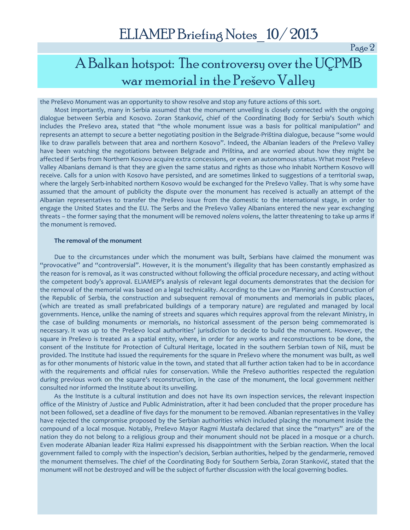Page 2

## A Balkan hotspot: The controversy over the UÇPMB war memorial in the Preševo Valley

#### the Preševo Monument was an opportunity to show resolve and stop any future actions of this sort.

Most importantly, many in Serbia assumed that the monument unveiling is closely connected with the ongoing dialogue between Serbia and Kosovo. Zoran Stanković, chief of the Coordinating Body for Serbia's South which includes the Preševo area, stated that "the whole monument issue was a basis for political manipulation" and represents an attempt to secure a better negotiating position in the Belgrade-Priština dialogue, because "some would like to draw parallels between that area and northern Kosovo". Indeed, the Albanian leaders of the Preševo Valley have been watching the negotiations between Belgrade and Priština, and are worried about how they might be affected if Serbs from Northern Kosovo acquire extra concessions, or even an autonomous status. What most Preševo Valley Albanians demand is that they are given the same status and rights as those who inhabit Northern Kosovo will receive. Calls for a union with Kosovo have persisted, and are sometimes linked to suggestions of a territorial swap, where the largely Serb-inhabited northern Kosovo would be exchanged for the Preševo Valley. That is why some have assumed that the amount of publicity the dispute over the monument has received is actually an attempt of the Albanian representatives to transfer the Preševo issue from the domestic to the international stage, in order to engage the United States and the EU. The Serbs and the Preševo Valley Albanians entered the new year exchanging threats – the former saying that the monument will be removed *nolens volens*, the latter threatening to take up arms if the monument is removed.

#### **The removal of the monument**

Due to the circumstances under which the monument was built, Serbians have claimed the monument was "provocative" and "controversial". However, it is the monument's *illegality* that has been constantly emphasized as the reason for is removal, as it was constructed without following the official procedure necessary, and acting without the competent body's approval. ELIAMEP's analysis of relevant legal documents demonstrates that the decision for the removal of the memorial was based on a legal technicality. According to the Law on Planning and Construction of the Republic of Serbia, the construction and subsequent removal of monuments and memorials in public places, (which are treated as small prefabricated buildings of a temporary nature) are regulated and managed by local governments. Hence, unlike the naming of streets and squares which requires approval from the relevant Ministry, in the case of building monuments or memorials, no historical assessment of the person being commemorated is necessary. It was up to the Preševo local authorities' jurisdiction to decide to build the monument. However, the square in Preševo is treated as a spatial entity, where, in order for any works and reconstructions to be done, the consent of the Institute for Protection of Cultural Heritage, located in the southern Serbian town of Niš, must be provided. The Institute had issued the requirements for the square in Preševo where the monument was built, as well as for other monuments of historic value in the town, and stated that all further action taken had to be in accordance with the requirements and official rules for conservation. While the Preševo authorities respected the regulation during previous work on the square's reconstruction, in the case of the monument, the local government neither consulted nor informed the Institute about its unveiling.

As the Institute is a cultural institution and does not have its own inspection services, the relevant inspection office of the Ministry of Justice and Public Administration, after it had been concluded that the proper procedure has not been followed, set a deadline of five days for the monument to be removed. Albanian representatives in the Valley have rejected the compromise proposed by the Serbian authorities which included placing the monument inside the compound of a local mosque. Notably, Preševo Mayor Ragmi Mustafa declared that since the "martyrs" are of the nation they do not belong to a religious group and their monument should not be placed in a mosque or a church. Even moderate Albanian leader Riza Halimi expressed his disappointment with the Serbian reaction. When the local government failed to comply with the inspection's decision, Serbian authorities, helped by the gendarmerie, removed the monument themselves. The chief of the Coordinating Body for Southern Serbia, Zoran Stanković, stated that the monument will not be destroyed and will be the subject of further discussion with the local governing bodies.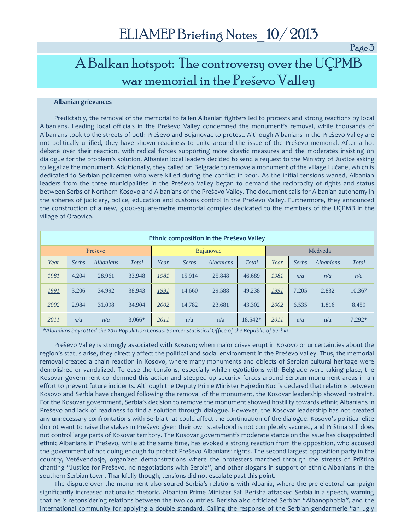Page 3

## A Balkan hotspot: The controversy over the UÇPMB war memorial in the Preševo Valley

#### **Albanian grievances**

Predictably, the removal of the memorial to fallen Albanian fighters led to protests and strong reactions by local Albanians. Leading local officials in the Preševo Valley condemned the monument's removal, while thousands of Albanians took to the streets of both Preševo and Bujanovac to protest. Although Albanians in the Preševo Valley are not politically unified, they have shown readiness to unite around the issue of the Preševo memorial. After a hot debate over their reaction, with radical forces supporting more drastic measures and the moderates insisting on dialogue for the problem's solution, Albanian local leaders decided to send a request to the Ministry of Justice asking to legalize the monument. Additionally, they called on Belgrade to remove a monument of the village Lučane, which is dedicated to Serbian policemen who were killed during the conflict in 2001. As the initial tensions waned, Albanian leaders from the three municipalities in the Preševo Valley began to demand the reciprocity of rights and status between Serbs of Northern Kosovo and Albanians of the Preševo Valley. The document calls for Albanian autonomy in the spheres of judiciary, police, education and customs control in the Preševo Valley. Furthermore, they announced the construction of a new, 3,000-square-metre memorial complex dedicated to the members of the UÇPMB in the village of Oraovica.

| Ethnic composition in the Preševo Valley |              |                  |              |                  |              |           |              |         |              |                  |          |
|------------------------------------------|--------------|------------------|--------------|------------------|--------------|-----------|--------------|---------|--------------|------------------|----------|
| Preševo                                  |              |                  |              | <b>Bujanovac</b> |              |           |              | Medveđa |              |                  |          |
| Year                                     | <b>Serbs</b> | <b>Albanians</b> | <b>Total</b> | Year             | <b>Serbs</b> | Albanians | <b>Total</b> | Year    | <b>Serbs</b> | <b>Albanians</b> | Total    |
| <u>1981</u>                              | 4.204        | 28.961           | 33.948       | 1981             | 15.914       | 25.848    | 46.689       | 1981    | n/a          | n/a              | n/a      |
| 1991                                     | 3.206        | 34.992           | 38.943       | <u> 1991</u>     | 14.660       | 29.588    | 49.238       | 1991    | 7.205        | 2.832            | 10.367   |
| 2002                                     | 2.984        | 31.098           | 34.904       | 2002             | 14.782       | 23.681    | 43.302       | 2002    | 6.535        | 1.816            | 8.459    |
| 2011                                     | n/a          | n/a              | $3.066*$     | 2011             | n/a          | n/a       | 18.542*      | 2011    | n/a          | n/a              | $7.292*$ |

\**Albanians boycotted the 2011 Population Census. Source: Statistical Office of the Republic of Serbia*

Preševo Valley is strongly associated with Kosovo; when major crises erupt in Kosovo or uncertainties about the region's status arise, they directly affect the political and social environment in the Preševo Valley. Thus, the memorial removal created a chain reaction in Kosovo, where many monuments and objects of Serbian cultural heritage were demolished or vandalized. To ease the tensions, especially while negotiations with Belgrade were taking place, the Kosovar government condemned this action and stepped up security forces around Serbian monument areas in an effort to prevent future incidents. Although the Deputy Prime Minister Hajredin Kuci's declared that relations between Kosovo and Serbia have changed following the removal of the monument, the Kosovar leadership showed restraint. For the Kosovar government, Serbia's decision to remove the monument showed hostility towards ethnic Albanians in Preševo and lack of readiness to find a solution through dialogue. However, the Kosovar leadership has not created any unnecessary confrontations with Serbia that could affect the continuation of the dialogue. Kosovo's political elite do not want to raise the stakes in Preševo given their own statehood is not completely secured, and Priština still does not control large parts of Kosovar territory. The Kosovar government's moderate stance on the issue has disappointed ethnic Albanians in Preševo, while at the same time, has evoked a strong reaction from the opposition, who accused the government of not doing enough to protect Preševo Albanians' rights. The second largest opposition party in the country, Vetëvendosje, organized demonstrations where the protesters marched through the streets of Priština chanting "Justice for Preševo, no negotiations with Serbia", and other slogans in support of ethnic Albanians in the southern Serbian town. Thankfully though, tensions did not escalate past this point.

The dispute over the monument also soured Serbia's relations with Albania, where the pre-electoral campaign significantly increased nationalist rhetoric. Albanian Prime Minister Sali Berisha attacked Serbia in a speech, warning that he is reconsidering relations between the two countries. Berisha also criticized Serbian "Albanophobia", and the international community for applying a double standard. Calling the response of the Serbian gendarmerie "an ugly